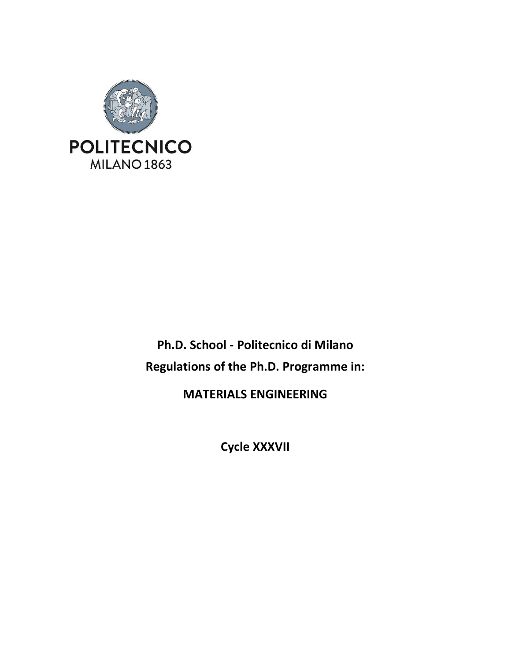

**Ph.D. School - Politecnico di Milano Regulations of the Ph.D. Programme in:**

**MATERIALS ENGINEERING**

**Cycle XXXVII**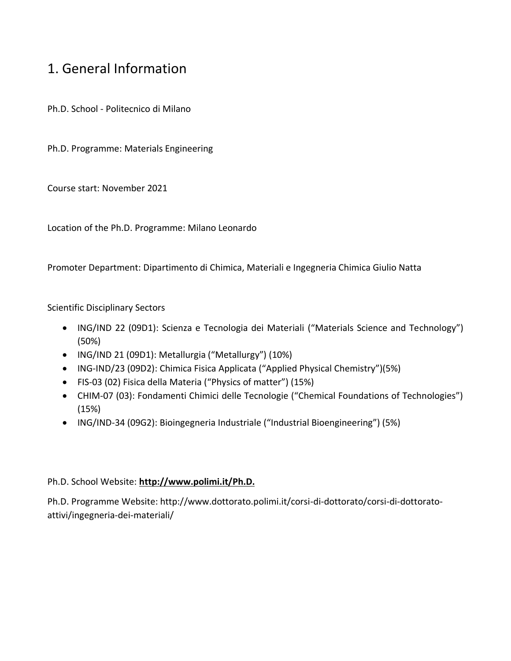## 1. General Information

Ph.D. School - Politecnico di Milano

Ph.D. Programme: Materials Engineering

Course start: November 2021

Location of the Ph.D. Programme: Milano Leonardo

Promoter Department: Dipartimento di Chimica, Materiali e Ingegneria Chimica Giulio Natta

Scientific Disciplinary Sectors

- ING/IND 22 (09D1): Scienza e Tecnologia dei Materiali ("Materials Science and Technology") (50%)
- ING/IND 21 (09D1): Metallurgia ("Metallurgy") (10%)
- ING-IND/23 (09D2): Chimica Fisica Applicata ("Applied Physical Chemistry")(5%)
- FIS-03 (02) Fisica della Materia ("Physics of matter") (15%)
- CHIM-07 (03): Fondamenti Chimici delle Tecnologie ("Chemical Foundations of Technologies") (15%)
- ING/IND-34 (09G2): Bioingegneria Industriale ("Industrial Bioengineering") (5%)

### Ph.D. School Website: **[http://www.polimi.it/Ph.D.](http://www.polimi.it/phd)**

Ph.D. Programme Website: http://www.dottorato.polimi.it/corsi-di-dottorato/corsi-di-dottoratoattivi/ingegneria-dei-materiali/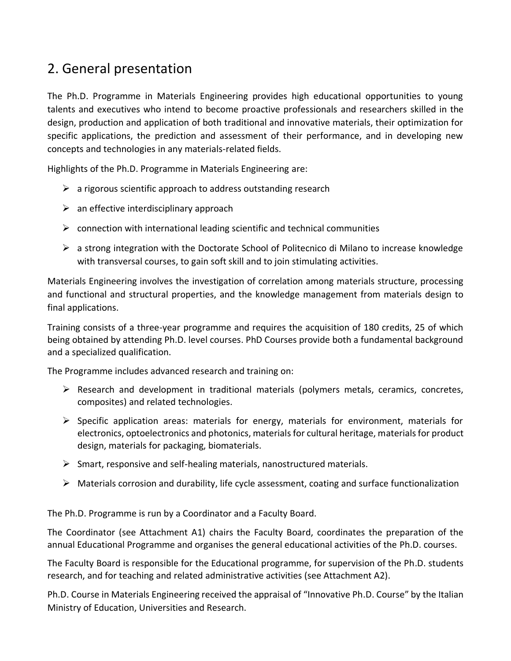## 2. General presentation

The Ph.D. Programme in Materials Engineering provides high educational opportunities to young talents and executives who intend to become proactive professionals and researchers skilled in the design, production and application of both traditional and innovative materials, their optimization for specific applications, the prediction and assessment of their performance, and in developing new concepts and technologies in any materials-related fields.

Highlights of the Ph.D. Programme in Materials Engineering are:

- $\triangleright$  a rigorous scientific approach to address outstanding research
- $\triangleright$  an effective interdisciplinary approach
- $\triangleright$  connection with international leading scientific and technical communities
- $\triangleright$  a strong integration with the Doctorate School of Politecnico di Milano to increase knowledge with transversal courses, to gain soft skill and to join stimulating activities.

Materials Engineering involves the investigation of correlation among materials structure, processing and functional and structural properties, and the knowledge management from materials design to final applications.

Training consists of a three-year programme and requires the acquisition of 180 credits, 25 of which being obtained by attending Ph.D. level courses. PhD Courses provide both a fundamental background and a specialized qualification.

The Programme includes advanced research and training on:

- $\triangleright$  Research and development in traditional materials (polymers metals, ceramics, concretes, composites) and related technologies.
- $\triangleright$  Specific application areas: materials for energy, materials for environment, materials for electronics, optoelectronics and photonics, materials for cultural heritage, materials for product design, materials for packaging, biomaterials.
- $\triangleright$  Smart, responsive and self-healing materials, nanostructured materials.
- ➢ Materials corrosion and durability, life cycle assessment, coating and surface functionalization

The Ph.D. Programme is run by a Coordinator and a Faculty Board.

The Coordinator (see Attachment A1) chairs the Faculty Board, coordinates the preparation of the annual Educational Programme and organises the general educational activities of the Ph.D. courses.

The Faculty Board is responsible for the Educational programme, for supervision of the Ph.D. students research, and for teaching and related administrative activities (see Attachment A2).

Ph.D. Course in Materials Engineering received the appraisal of "Innovative Ph.D. Course" by the Italian Ministry of Education, Universities and Research.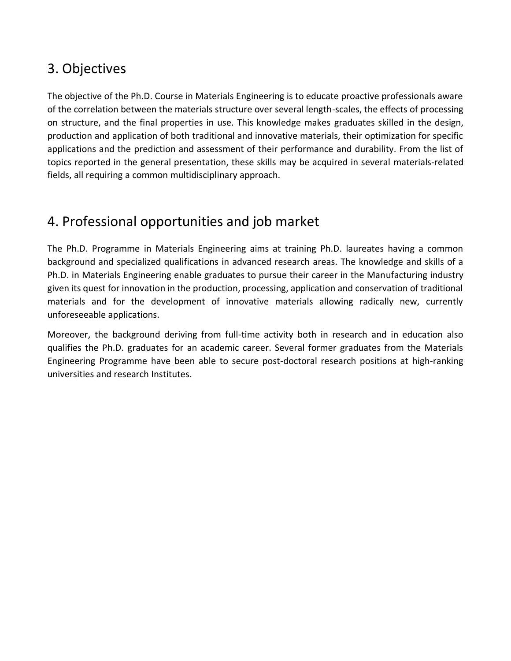## 3. Objectives

The objective of the Ph.D. Course in Materials Engineering is to educate proactive professionals aware of the correlation between the materials structure over several length-scales, the effects of processing on structure, and the final properties in use. This knowledge makes graduates skilled in the design, production and application of both traditional and innovative materials, their optimization for specific applications and the prediction and assessment of their performance and durability. From the list of topics reported in the general presentation, these skills may be acquired in several materials-related fields, all requiring a common multidisciplinary approach.

## 4. Professional opportunities and job market

The Ph.D. Programme in Materials Engineering aims at training Ph.D. laureates having a common background and specialized qualifications in advanced research areas. The knowledge and skills of a Ph.D. in Materials Engineering enable graduates to pursue their career in the Manufacturing industry given its quest for innovation in the production, processing, application and conservation of traditional materials and for the development of innovative materials allowing radically new, currently unforeseeable applications.

Moreover, the background deriving from full-time activity both in research and in education also qualifies the Ph.D. graduates for an academic career. Several former graduates from the Materials Engineering Programme have been able to secure post-doctoral research positions at high-ranking universities and research Institutes.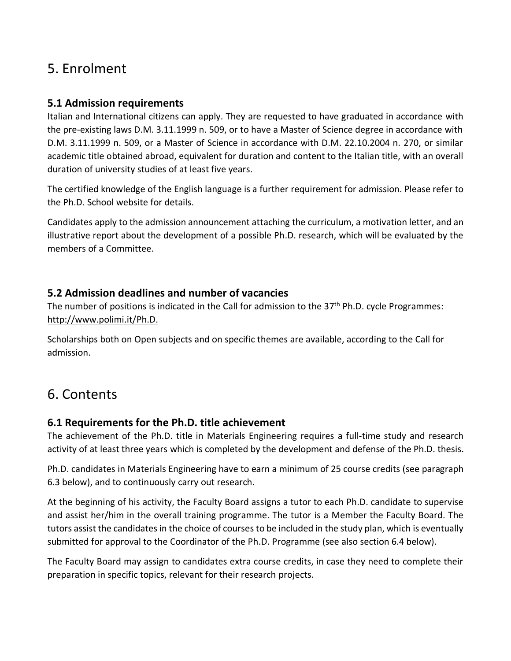## 5. Enrolment

## **5.1 Admission requirements**

Italian and International citizens can apply. They are requested to have graduated in accordance with the pre-existing laws D.M. 3.11.1999 n. 509, or to have a Master of Science degree in accordance with D.M. 3.11.1999 n. 509, or a Master of Science in accordance with D.M. 22.10.2004 n. 270, or similar academic title obtained abroad, equivalent for duration and content to the Italian title, with an overall duration of university studies of at least five years.

The certified knowledge of the English language is a further requirement for admission. Please refer to the Ph.D. School website for details.

Candidates apply to the admission announcement attaching the curriculum, a motivation letter, and an illustrative report about the development of a possible Ph.D. research, which will be evaluated by the members of a Committee.

## **5.2 Admission deadlines and number of vacancies**

The number of positions is indicated in the Call for admission to the 37<sup>th</sup> Ph.D. cycle Programmes: [http://www.polimi.it/Ph.D.](http://www.polimi.it/phd)

Scholarships both on Open subjects and on specific themes are available, according to the Call for admission.

## 6. Contents

## **6.1 Requirements for the Ph.D. title achievement**

The achievement of the Ph.D. title in Materials Engineering requires a full-time study and research activity of at least three years which is completed by the development and defense of the Ph.D. thesis.

Ph.D. candidates in Materials Engineering have to earn a minimum of 25 course credits (see paragraph 6.3 below), and to continuously carry out research.

At the beginning of his activity, the Faculty Board assigns a tutor to each Ph.D. candidate to supervise and assist her/him in the overall training programme. The tutor is a Member the Faculty Board. The tutors assist the candidates in the choice of courses to be included in the study plan, which is eventually submitted for approval to the Coordinator of the Ph.D. Programme (see also section 6.4 below).

The Faculty Board may assign to candidates extra course credits, in case they need to complete their preparation in specific topics, relevant for their research projects.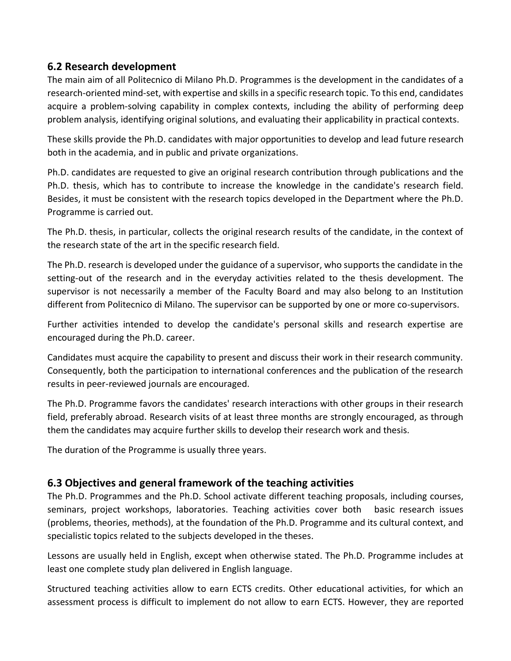## **6.2 Research development**

The main aim of all Politecnico di Milano Ph.D. Programmes is the development in the candidates of a research-oriented mind-set, with expertise and skillsin a specific research topic. To this end, candidates acquire a problem-solving capability in complex contexts, including the ability of performing deep problem analysis, identifying original solutions, and evaluating their applicability in practical contexts.

These skills provide the Ph.D. candidates with major opportunities to develop and lead future research both in the academia, and in public and private organizations.

Ph.D. candidates are requested to give an original research contribution through publications and the Ph.D. thesis, which has to contribute to increase the knowledge in the candidate's research field. Besides, it must be consistent with the research topics developed in the Department where the Ph.D. Programme is carried out.

The Ph.D. thesis, in particular, collects the original research results of the candidate, in the context of the research state of the art in the specific research field.

The Ph.D. research is developed under the guidance of a supervisor, who supports the candidate in the setting-out of the research and in the everyday activities related to the thesis development. The supervisor is not necessarily a member of the Faculty Board and may also belong to an Institution different from Politecnico di Milano. The supervisor can be supported by one or more co-supervisors.

Further activities intended to develop the candidate's personal skills and research expertise are encouraged during the Ph.D. career.

Candidates must acquire the capability to present and discuss their work in their research community. Consequently, both the participation to international conferences and the publication of the research results in peer-reviewed journals are encouraged.

The Ph.D. Programme favors the candidates' research interactions with other groups in their research field, preferably abroad. Research visits of at least three months are strongly encouraged, as through them the candidates may acquire further skills to develop their research work and thesis.

The duration of the Programme is usually three years.

## **6.3 Objectives and general framework of the teaching activities**

The Ph.D. Programmes and the Ph.D. School activate different teaching proposals, including courses, seminars, project workshops, laboratories. Teaching activities cover both basic research issues (problems, theories, methods), at the foundation of the Ph.D. Programme and its cultural context, and specialistic topics related to the subjects developed in the theses.

Lessons are usually held in English, except when otherwise stated. The Ph.D. Programme includes at least one complete study plan delivered in English language.

Structured teaching activities allow to earn ECTS credits. Other educational activities, for which an assessment process is difficult to implement do not allow to earn ECTS. However, they are reported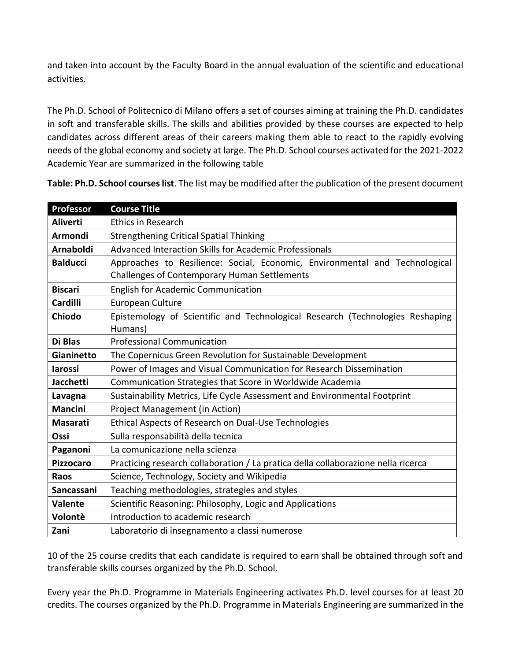and taken into account by the Faculty Board in the annual evaluation of the scientific and educational activities.

The Ph.D. School of Politecnico di Milano offers a set of courses aiming at training the Ph.D. candidates in soft and transferable skills. The skills and abilities provided by these courses are expected to help candidates across different areas of their careers making them able to react to the rapidly evolving needs of the global economy and society at large. The Ph.D. School courses activated for the 2021-2022 Academic Year are summarized in the following table

| Professor        | <b>Course Title</b>                                                                                                         |
|------------------|-----------------------------------------------------------------------------------------------------------------------------|
| <b>Aliverti</b>  | <b>Ethics in Research</b>                                                                                                   |
| Armondi          | <b>Strengthening Critical Spatial Thinking</b>                                                                              |
| <b>Arnaboldi</b> | Advanced Interaction Skills for Academic Professionals                                                                      |
| <b>Balducci</b>  | Approaches to Resilience: Social, Economic, Environmental and Technological<br>Challenges of Contemporary Human Settlements |
| <b>Biscari</b>   | <b>English for Academic Communication</b>                                                                                   |
| <b>Cardilli</b>  | European Culture                                                                                                            |
| Chiodo           | Epistemology of Scientific and Technological Research (Technologies Reshaping<br>Humans)                                    |
| Di Blas          | <b>Professional Communication</b>                                                                                           |
| Gianinetto       | The Copernicus Green Revolution for Sustainable Development                                                                 |
| <b>larossi</b>   | Power of Images and Visual Communication for Research Dissemination                                                         |
| <b>Jacchetti</b> | Communication Strategies that Score in Worldwide Academia                                                                   |
| Lavagna          | Sustainability Metrics, Life Cycle Assessment and Environmental Footprint                                                   |
| <b>Mancini</b>   | Project Management (in Action)                                                                                              |
| <b>Masarati</b>  | Ethical Aspects of Research on Dual-Use Technologies                                                                        |
| Ossi             | Sulla responsabilità della tecnica                                                                                          |
| Paganoni         | La comunicazione nella scienza                                                                                              |
| <b>Pizzocaro</b> | Practicing research collaboration / La pratica della collaborazione nella ricerca                                           |
| Raos             | Science, Technology, Society and Wikipedia                                                                                  |
| Sancassani       | Teaching methodologies, strategies and styles                                                                               |
| <b>Valente</b>   | Scientific Reasoning: Philosophy, Logic and Applications                                                                    |
| Volontè          | Introduction to academic research                                                                                           |
| Zani             | Laboratorio di insegnamento a classi numerose                                                                               |

**Table: Ph.D. School courses list**. The list may be modified after the publication of the present document

10 of the 25 course credits that each candidate is required to earn shall be obtained through soft and transferable skills courses organized by the Ph.D. School.

Every year the Ph.D. Programme in Materials Engineering activates Ph.D. level courses for at least 20 credits. The courses organized by the Ph.D. Programme in Materials Engineering are summarized in the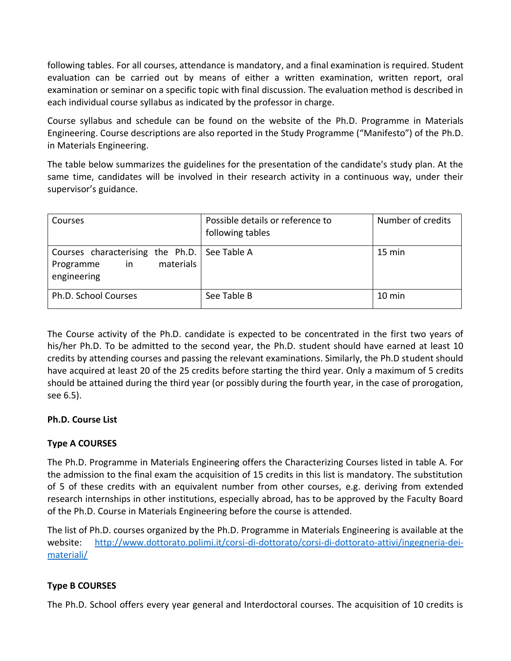following tables. For all courses, attendance is mandatory, and a final examination is required. Student evaluation can be carried out by means of either a written examination, written report, oral examination or seminar on a specific topic with final discussion. The evaluation method is described in each individual course syllabus as indicated by the professor in charge.

Course syllabus and schedule can be found on the website of the Ph.D. Programme in Materials Engineering. Course descriptions are also reported in the Study Programme ("Manifesto") of the Ph.D. in Materials Engineering.

The table below summarizes the guidelines for the presentation of the candidate's study plan. At the same time, candidates will be involved in their research activity in a continuous way, under their supervisor's guidance.

| Courses                                                                                       | Possible details or reference to<br>following tables | Number of credits |
|-----------------------------------------------------------------------------------------------|------------------------------------------------------|-------------------|
| Courses characterising the Ph.D.   See Table A<br>materials<br>in<br>Programme<br>engineering |                                                      | 15 min            |
| Ph.D. School Courses                                                                          | See Table B                                          | 10 min            |

The Course activity of the Ph.D. candidate is expected to be concentrated in the first two years of his/her Ph.D. To be admitted to the second year, the Ph.D. student should have earned at least 10 credits by attending courses and passing the relevant examinations. Similarly, the Ph.D student should have acquired at least 20 of the 25 credits before starting the third year. Only a maximum of 5 credits should be attained during the third year (or possibly during the fourth year, in the case of prorogation, see 6.5).

### **Ph.D. Course List**

### **Type A COURSES**

The Ph.D. Programme in Materials Engineering offers the Characterizing Courses listed in table A. For the admission to the final exam the acquisition of 15 credits in this list is mandatory. The substitution of 5 of these credits with an equivalent number from other courses, e.g. deriving from extended research internships in other institutions, especially abroad, has to be approved by the Faculty Board of the Ph.D. Course in Materials Engineering before the course is attended.

The list of Ph.D. courses organized by the Ph.D. Programme in Materials Engineering is available at the website: [http://www.dottorato.polimi.it/corsi-di-dottorato/corsi-di-dottorato-attivi/ingegneria-dei](http://www.dottorato.polimi.it/corsi-di-dottorato/corsi-di-dottorato-attivi/ingegneria-dei-materiali/)[materiali/](http://www.dottorato.polimi.it/corsi-di-dottorato/corsi-di-dottorato-attivi/ingegneria-dei-materiali/)

## **Type B COURSES**

The Ph.D. School offers every year general and Interdoctoral courses. The acquisition of 10 credits is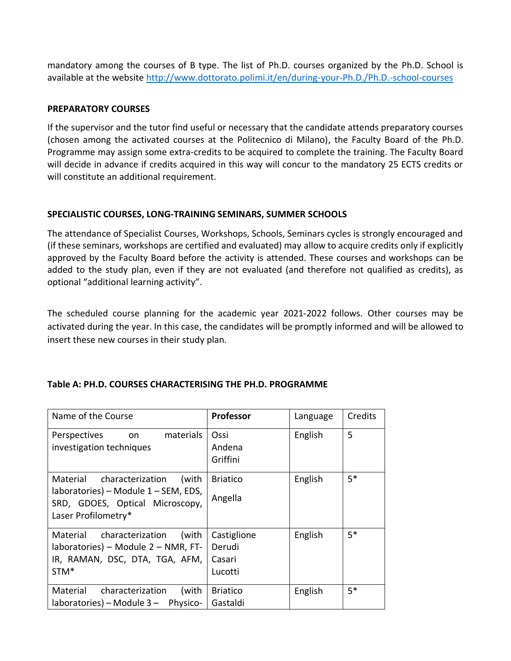mandatory among the courses of B type. The list of Ph.D. courses organized by the Ph.D. School is available at the website [http://www.dottorato.polimi.it/en/during-your-Ph.D./Ph.D.-school-courses](http://www.dottorato.polimi.it/en/during-your-phd/phd-school-courses) 

#### **PREPARATORY COURSES**

If the supervisor and the tutor find useful or necessary that the candidate attends preparatory courses (chosen among the activated courses at the Politecnico di Milano), the Faculty Board of the Ph.D. Programme may assign some extra-credits to be acquired to complete the training. The Faculty Board will decide in advance if credits acquired in this way will concur to the mandatory 25 ECTS credits or will constitute an additional requirement.

#### **SPECIALISTIC COURSES, LONG-TRAINING SEMINARS, SUMMER SCHOOLS**

The attendance of Specialist Courses, Workshops, Schools, Seminars cycles is strongly encouraged and (if these seminars, workshops are certified and evaluated) may allow to acquire credits only if explicitly approved by the Faculty Board before the activity is attended. These courses and workshops can be added to the study plan, even if they are not evaluated (and therefore not qualified as credits), as optional "additional learning activity".

The scheduled course planning for the academic year 2021-2022 follows. Other courses may be activated during the year. In this case, the candidates will be promptly informed and will be allowed to insert these new courses in their study plan.

| Name of the Course                                                                                                                   | <b>Professor</b>                           | Language | Credits |
|--------------------------------------------------------------------------------------------------------------------------------------|--------------------------------------------|----------|---------|
| materials<br>Perspectives<br>on<br>investigation techniques                                                                          | Ossi<br>Andena<br>Griffini                 | English  | 5       |
| Material characterization<br>(with<br>laboratories) – Module 1 – SEM, EDS,<br>SRD, GDOES, Optical Microscopy,<br>Laser Profilometry* | <b>Briatico</b><br>Angella                 | English  | $5*$    |
| Material<br>(with<br>characterization<br>laboratories) - Module 2 - NMR, FT-<br>IR, RAMAN, DSC, DTA, TGA, AFM,<br>STM <sup>*</sup>   | Castiglione<br>Derudi<br>Casari<br>Lucotti | English  | $5*$    |
| Material<br>characterization<br>(with<br>laboratories) – Module 3 – Physico-                                                         | <b>Briatico</b><br>Gastaldi                | English  | $5*$    |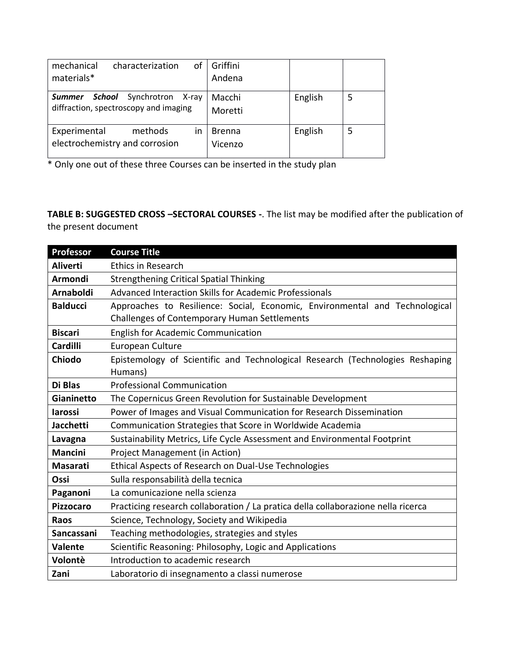| of<br>mechanical<br>characterization<br>materials*                                       | Griffini<br>Andena       |         |   |
|------------------------------------------------------------------------------------------|--------------------------|---------|---|
| Synchrotron<br>School<br><b>Summer</b><br>X-ray<br>diffraction, spectroscopy and imaging | Macchi<br>Moretti        | English |   |
| Experimental<br>methods<br>in<br>electrochemistry and corrosion                          | <b>Brenna</b><br>Vicenzo | English | 5 |

\* Only one out of these three Courses can be inserted in the study plan

**TABLE B: SUGGESTED CROSS –SECTORAL COURSES -**. The list may be modified after the publication of the present document

| Professor        | <b>Course Title</b>                                                               |
|------------------|-----------------------------------------------------------------------------------|
| <b>Aliverti</b>  | <b>Ethics in Research</b>                                                         |
| Armondi          | Strengthening Critical Spatial Thinking                                           |
| <b>Arnaboldi</b> | Advanced Interaction Skills for Academic Professionals                            |
| <b>Balducci</b>  | Approaches to Resilience: Social, Economic, Environmental and Technological       |
|                  | Challenges of Contemporary Human Settlements                                      |
| <b>Biscari</b>   | <b>English for Academic Communication</b>                                         |
| Cardilli         | European Culture                                                                  |
| Chiodo           | Epistemology of Scientific and Technological Research (Technologies Reshaping     |
|                  | Humans)                                                                           |
| Di Blas          | <b>Professional Communication</b>                                                 |
| Gianinetto       | The Copernicus Green Revolution for Sustainable Development                       |
| larossi          | Power of Images and Visual Communication for Research Dissemination               |
| <b>Jacchetti</b> | Communication Strategies that Score in Worldwide Academia                         |
| Lavagna          | Sustainability Metrics, Life Cycle Assessment and Environmental Footprint         |
| <b>Mancini</b>   | Project Management (in Action)                                                    |
| <b>Masarati</b>  | Ethical Aspects of Research on Dual-Use Technologies                              |
| Ossi             | Sulla responsabilità della tecnica                                                |
| Paganoni         | La comunicazione nella scienza                                                    |
| <b>Pizzocaro</b> | Practicing research collaboration / La pratica della collaborazione nella ricerca |
| Raos             | Science, Technology, Society and Wikipedia                                        |
| Sancassani       | Teaching methodologies, strategies and styles                                     |
| <b>Valente</b>   | Scientific Reasoning: Philosophy, Logic and Applications                          |
| Volontè          | Introduction to academic research                                                 |
| Zani             | Laboratorio di insegnamento a classi numerose                                     |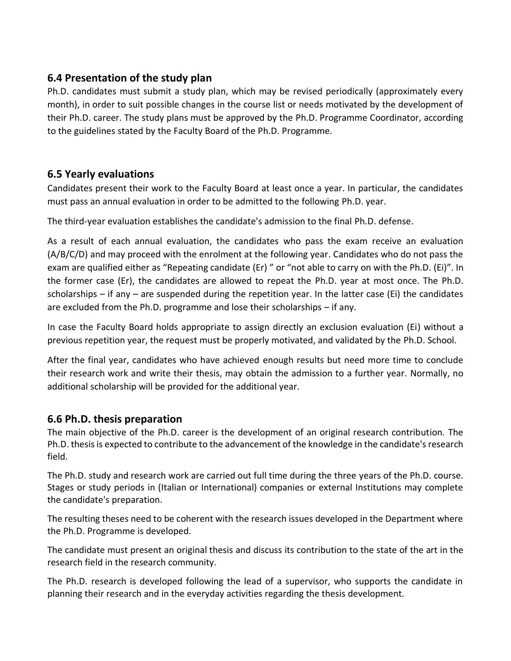## **6.4 Presentation of the study plan**

Ph.D. candidates must submit a study plan, which may be revised periodically (approximately every month), in order to suit possible changes in the course list or needs motivated by the development of their Ph.D. career. The study plans must be approved by the Ph.D. Programme Coordinator, according to the guidelines stated by the Faculty Board of the Ph.D. Programme.

## **6.5 Yearly evaluations**

Candidates present their work to the Faculty Board at least once a year. In particular, the candidates must pass an annual evaluation in order to be admitted to the following Ph.D. year.

The third-year evaluation establishes the candidate's admission to the final Ph.D. defense.

As a result of each annual evaluation, the candidates who pass the exam receive an evaluation (A/B/C/D) and may proceed with the enrolment at the following year. Candidates who do not pass the exam are qualified either as "Repeating candidate (Er) " or "not able to carry on with the Ph.D. (Ei)". In the former case (Er), the candidates are allowed to repeat the Ph.D. year at most once. The Ph.D. scholarships – if any – are suspended during the repetition year. In the latter case (Ei) the candidates are excluded from the Ph.D. programme and lose their scholarships – if any.

In case the Faculty Board holds appropriate to assign directly an exclusion evaluation (Ei) without a previous repetition year, the request must be properly motivated, and validated by the Ph.D. School.

After the final year, candidates who have achieved enough results but need more time to conclude their research work and write their thesis, may obtain the admission to a further year. Normally, no additional scholarship will be provided for the additional year.

## **6.6 Ph.D. thesis preparation**

The main objective of the Ph.D. career is the development of an original research contribution. The Ph.D. thesis is expected to contribute to the advancement of the knowledge in the candidate's research field.

The Ph.D. study and research work are carried out full time during the three years of the Ph.D. course. Stages or study periods in (Italian or International) companies or external Institutions may complete the candidate's preparation.

The resulting theses need to be coherent with the research issues developed in the Department where the Ph.D. Programme is developed.

The candidate must present an original thesis and discuss its contribution to the state of the art in the research field in the research community.

The Ph.D. research is developed following the lead of a supervisor, who supports the candidate in planning their research and in the everyday activities regarding the thesis development.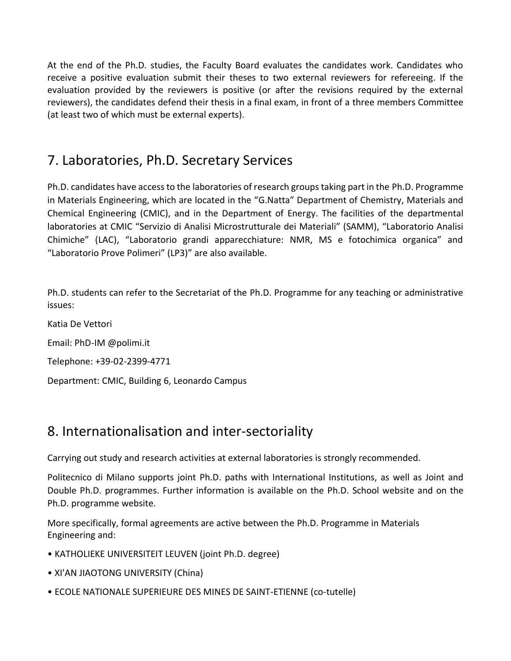At the end of the Ph.D. studies, the Faculty Board evaluates the candidates work. Candidates who receive a positive evaluation submit their theses to two external reviewers for refereeing. If the evaluation provided by the reviewers is positive (or after the revisions required by the external reviewers), the candidates defend their thesis in a final exam, in front of a three members Committee (at least two of which must be external experts).

## 7. Laboratories, Ph.D. Secretary Services

Ph.D. candidates have access to the laboratories of research groups taking part in the Ph.D. Programme in Materials Engineering, which are located in the "G.Natta" Department of Chemistry, Materials and Chemical Engineering (CMIC), and in the Department of Energy. The facilities of the departmental laboratories at CMIC "Servizio di Analisi Microstrutturale dei Materiali" (SAMM), "Laboratorio Analisi Chimiche" (LAC), "Laboratorio grandi apparecchiature: NMR, MS e fotochimica organica" and "Laboratorio Prove Polimeri" (LP3)" are also available.

Ph.D. students can refer to the Secretariat of the Ph.D. Programme for any teaching or administrative issues:

Katia De Vettori Email: PhD-IM @polimi.it

Telephone: +39-02-2399-4771

Department: CMIC, Building 6, Leonardo Campus

## 8. Internationalisation and inter-sectoriality

Carrying out study and research activities at external laboratories is strongly recommended.

Politecnico di Milano supports joint Ph.D. paths with International Institutions, as well as Joint and Double Ph.D. programmes. Further information is available on the Ph.D. School website and on the Ph.D. programme website.

More specifically, formal agreements are active between the Ph.D. Programme in Materials Engineering and:

- KATHOLIEKE UNIVERSITEIT LEUVEN (joint Ph.D. degree)
- XI'AN JIAOTONG UNIVERSITY (China)
- ECOLE NATIONALE SUPERIEURE DES MINES DE SAINT-ETIENNE (co-tutelle)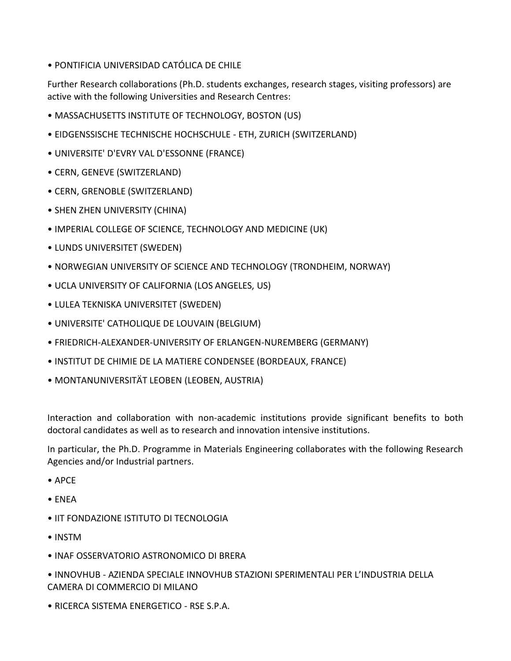• PONTIFICIA UNIVERSIDAD CATÓLICA DE CHILE

Further Research collaborations (Ph.D. students exchanges, research stages, visiting professors) are active with the following Universities and Research Centres:

- MASSACHUSETTS INSTITUTE OF TECHNOLOGY, BOSTON (US)
- EIDGENSSISCHE TECHNISCHE HOCHSCHULE ETH, ZURICH (SWITZERLAND)
- UNIVERSITE' D'EVRY VAL D'ESSONNE (FRANCE)
- CERN, GENEVE (SWITZERLAND)
- CERN, GRENOBLE (SWITZERLAND)
- SHEN ZHEN UNIVERSITY (CHINA)
- IMPERIAL COLLEGE OF SCIENCE, TECHNOLOGY AND MEDICINE (UK)
- LUNDS UNIVERSITET (SWEDEN)
- NORWEGIAN UNIVERSITY OF SCIENCE AND TECHNOLOGY (TRONDHEIM, NORWAY)
- UCLA UNIVERSITY OF CALIFORNIA (LOS ANGELES, US)
- LULEA TEKNISKA UNIVERSITET (SWEDEN)
- UNIVERSITE' CATHOLIQUE DE LOUVAIN (BELGIUM)
- FRIEDRICH-ALEXANDER-UNIVERSITY OF ERLANGEN-NUREMBERG (GERMANY)
- INSTITUT DE CHIMIE DE LA MATIERE CONDENSEE (BORDEAUX, FRANCE)
- MONTANUNIVERSITÄT LEOBEN (LEOBEN, AUSTRIA)

Interaction and collaboration with non-academic institutions provide significant benefits to both doctoral candidates as well as to research and innovation intensive institutions.

In particular, the Ph.D. Programme in Materials Engineering collaborates with the following Research Agencies and/or Industrial partners.

- APCE
- ENEA
- IIT FONDAZIONE ISTITUTO DI TECNOLOGIA
- INSTM
- INAF OSSERVATORIO ASTRONOMICO DI BRERA

• INNOVHUB - AZIENDA SPECIALE INNOVHUB STAZIONI SPERIMENTALI PER L'INDUSTRIA DELLA CAMERA DI COMMERCIO DI MILANO

• RICERCA SISTEMA ENERGETICO - RSE S.P.A.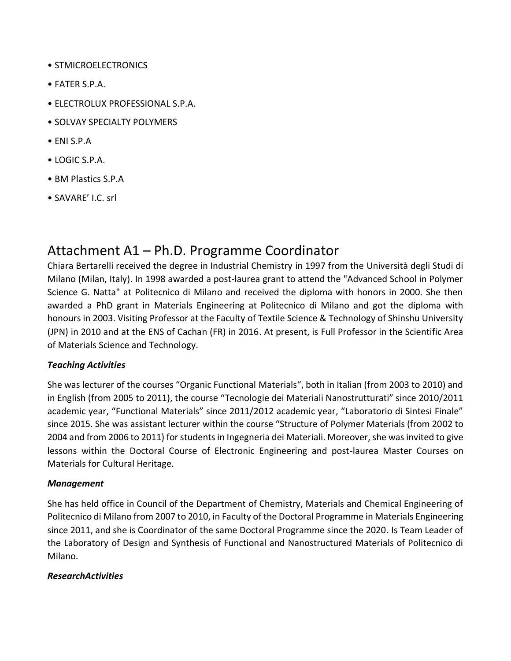- STMICROELECTRONICS
- FATER S.P.A.
- ELECTROLUX PROFESSIONAL S.P.A.
- SOLVAY SPECIALTY POLYMERS
- ENI S.P.A
- LOGIC S.P.A.
- BM Plastics S.P.A
- SAVARE' I.C. srl

## Attachment A1 – Ph.D. Programme Coordinator

Chiara Bertarelli received the degree in Industrial Chemistry in 1997 from the Università degli Studi di Milano (Milan, Italy). In 1998 awarded a post-laurea grant to attend the "Advanced School in Polymer Science G. Natta" at Politecnico di Milano and received the diploma with honors in 2000. She then awarded a PhD grant in Materials Engineering at Politecnico di Milano and got the diploma with honours in 2003. Visiting Professor at the Faculty of Textile Science & Technology of Shinshu University (JPN) in 2010 and at the ENS of Cachan (FR) in 2016. At present, is Full Professor in the Scientific Area of Materials Science and Technology.

## *Teaching Activities*

She was lecturer of the courses "Organic Functional Materials", both in Italian (from 2003 to 2010) and in English (from 2005 to 2011), the course "Tecnologie dei Materiali Nanostrutturati" since 2010/2011 academic year, "Functional Materials" since 2011/2012 academic year, "Laboratorio di Sintesi Finale" since 2015. She was assistant lecturer within the course "Structure of Polymer Materials (from 2002 to 2004 and from 2006 to 2011) for students in Ingegneria dei Materiali. Moreover, she was invited to give lessons within the Doctoral Course of Electronic Engineering and post-laurea Master Courses on Materials for Cultural Heritage.

## *Management*

She has held office in Council of the Department of Chemistry, Materials and Chemical Engineering of Politecnico di Milano from 2007 to 2010, in Faculty of the Doctoral Programme in Materials Engineering since 2011, and she is Coordinator of the same Doctoral Programme since the 2020. Is Team Leader of the Laboratory of Design and Synthesis of Functional and Nanostructured Materials of Politecnico di Milano.

## *ResearchActivities*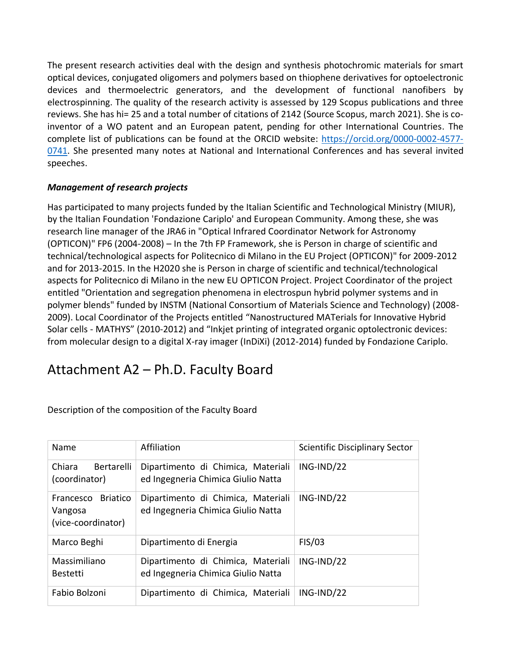The present research activities deal with the design and synthesis photochromic materials for smart optical devices, conjugated oligomers and polymers based on thiophene derivatives for optoelectronic devices and thermoelectric generators, and the development of functional nanofibers by electrospinning. The quality of the research activity is assessed by 129 Scopus publications and three reviews. She has hi= 25 and a total number of citations of 2142 (Source Scopus, march 2021). She is coinventor of a WO patent and an European patent, pending for other International Countries. The complete list of publications can be found at the ORCID website: [https://orcid.org/0000-0002-4577-](https://orcid.org/0000-0002-4577-0741) [0741.](https://orcid.org/0000-0002-4577-0741) She presented many notes at National and International Conferences and has several invited speeches.

### *Management of research projects*

Has participated to many projects funded by the Italian Scientific and Technological Ministry (MIUR), by the Italian Foundation 'Fondazione Cariplo' and European Community. Among these, she was research line manager of the JRA6 in "Optical Infrared Coordinator Network for Astronomy (OPTICON)" FP6 (2004-2008) – In the 7th FP Framework, she is Person in charge of scientific and technical/technological aspects for Politecnico di Milano in the EU Project (OPTICON)" for 2009-2012 and for 2013-2015. In the H2020 she is Person in charge of scientific and technical/technological aspects for Politecnico di Milano in the new EU OPTICON Project. Project Coordinator of the project entitled "Orientation and segregation phenomena in electrospun hybrid polymer systems and in polymer blends" funded by INSTM (National Consortium of Materials Science and Technology) (2008- 2009). Local Coordinator of the Projects entitled "Nanostructured MATerials for Innovative Hybrid Solar cells - MATHYS" (2010-2012) and "Inkjet printing of integrated organic optolectronic devices: from molecular design to a digital X-ray imager (InDiXi) (2012-2014) funded by Fondazione Cariplo.

## Attachment A2 – Ph.D. Faculty Board

| Name                                                | Affiliation                                                              | <b>Scientific Disciplinary Sector</b> |
|-----------------------------------------------------|--------------------------------------------------------------------------|---------------------------------------|
| Chiara<br>Bertarelli<br>(coordinator)               | Dipartimento di Chimica, Materiali<br>ed Ingegneria Chimica Giulio Natta | $ING-IND/22$                          |
| Francesco Briatico<br>Vangosa<br>(vice-coordinator) | Dipartimento di Chimica, Materiali<br>ed Ingegneria Chimica Giulio Natta | $ING-IND/22$                          |
| Marco Beghi                                         | Dipartimento di Energia                                                  | FIS/03                                |
| Massimiliano<br><b>Bestetti</b>                     | Dipartimento di Chimica, Materiali<br>ed Ingegneria Chimica Giulio Natta | $ING-IND/22$                          |
| Fabio Bolzoni                                       | Dipartimento di Chimica, Materiali                                       | $ING-IND/22$                          |

Description of the composition of the Faculty Board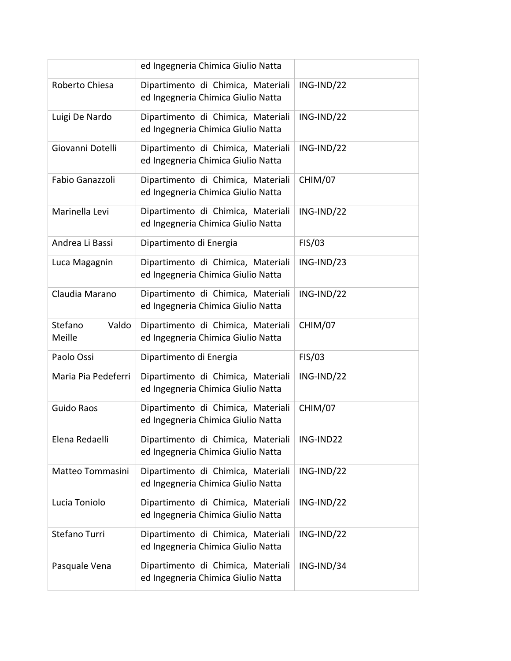|                            | ed Ingegneria Chimica Giulio Natta                                       |              |
|----------------------------|--------------------------------------------------------------------------|--------------|
| Roberto Chiesa             | Dipartimento di Chimica, Materiali<br>ed Ingegneria Chimica Giulio Natta | $ING-IND/22$ |
| Luigi De Nardo             | Dipartimento di Chimica, Materiali<br>ed Ingegneria Chimica Giulio Natta | ING-IND/22   |
| Giovanni Dotelli           | Dipartimento di Chimica, Materiali<br>ed Ingegneria Chimica Giulio Natta | ING-IND/22   |
| Fabio Ganazzoli            | Dipartimento di Chimica, Materiali<br>ed Ingegneria Chimica Giulio Natta | CHIM/07      |
| Marinella Levi             | Dipartimento di Chimica, Materiali<br>ed Ingegneria Chimica Giulio Natta | ING-IND/22   |
| Andrea Li Bassi            | Dipartimento di Energia                                                  | FIS/03       |
| Luca Magagnin              | Dipartimento di Chimica, Materiali<br>ed Ingegneria Chimica Giulio Natta | ING-IND/23   |
| Claudia Marano             | Dipartimento di Chimica, Materiali<br>ed Ingegneria Chimica Giulio Natta | ING-IND/22   |
| Stefano<br>Valdo<br>Meille | Dipartimento di Chimica, Materiali<br>ed Ingegneria Chimica Giulio Natta | CHIM/07      |
| Paolo Ossi                 | Dipartimento di Energia                                                  | FIS/03       |
| Maria Pia Pedeferri        | Dipartimento di Chimica, Materiali<br>ed Ingegneria Chimica Giulio Natta | ING-IND/22   |
| <b>Guido Raos</b>          | Dipartimento di Chimica, Materiali<br>ed Ingegneria Chimica Giulio Natta | CHIM/07      |
| Elena Redaelli             | Dipartimento di Chimica, Materiali<br>ed Ingegneria Chimica Giulio Natta | ING-IND22    |
| Matteo Tommasini           | Dipartimento di Chimica, Materiali<br>ed Ingegneria Chimica Giulio Natta | $ING-IND/22$ |
| Lucia Toniolo              | Dipartimento di Chimica, Materiali<br>ed Ingegneria Chimica Giulio Natta | ING-IND/22   |
| Stefano Turri              | Dipartimento di Chimica, Materiali<br>ed Ingegneria Chimica Giulio Natta | $ING-IND/22$ |
| Pasquale Vena              | Dipartimento di Chimica, Materiali<br>ed Ingegneria Chimica Giulio Natta | ING-IND/34   |